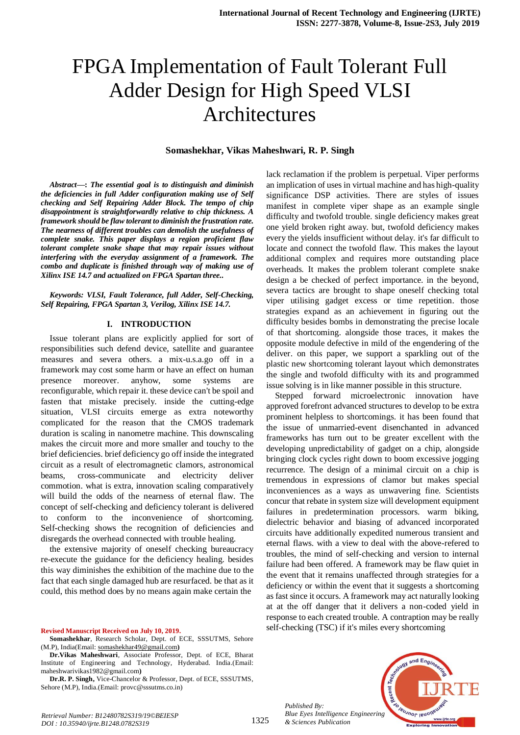# FPGA Implementation of Fault Tolerant Full Adder Design for High Speed VLSI Architectures

#### **Somashekhar, Vikas Maheshwari, R. P. Singh**

*Abstract***—:** *The essential goal is to distinguish and diminish the deficiencies in full Adder configuration making use of Self checking and Self Repairing Adder Block. The tempo of chip disappointment is straightforwardly relative to chip thickness. A framework should be flaw tolerant to diminish the frustration rate. The nearness of different troubles can demolish the usefulness of complete snake. This paper displays a region proficient flaw tolerant complete snake shape that may repair issues without interfering with the everyday assignment of a framework. The combo and duplicate is finished through way of making use of Xilinx ISE 14.7 and actualized on FPGA Spartan three..*

*Keywords: VLSI, Fault Tolerance, full Adder, Self-Checking, Self Repairing, FPGA Spartan 3, Verilog, Xilinx ISE 14.7.*

#### **I. INTRODUCTION**

Issue tolerant plans are explicitly applied for sort of responsibilities such defend device, satellite and guarantee measures and severa others. a mix-u.s.a.go off in a framework may cost some harm or have an effect on human presence moreover. anyhow, some systems are reconfigurable, which repair it. these device can't be spoil and fasten that mistake precisely. inside the cutting-edge situation, VLSI circuits emerge as extra noteworthy complicated for the reason that the CMOS trademark duration is scaling in nanometre machine. This downscaling makes the circuit more and more smaller and touchy to the brief deficiencies. brief deficiency go off inside the integrated circuit as a result of electromagnetic clamors, astronomical beams, cross-communicate and electricity deliver commotion. what is extra, innovation scaling comparatively will build the odds of the nearness of eternal flaw. The concept of self-checking and deficiency tolerant is delivered to conform to the inconvenience of shortcoming. Self-checking shows the recognition of deficiencies and disregards the overhead connected with trouble healing.

the extensive majority of oneself checking bureaucracy re-execute the guidance for the deficiency healing. besides this way diminishes the exhibition of the machine due to the fact that each single damaged hub are resurfaced. be that as it could, this method does by no means again make certain the

#### **Revised Manuscript Received on July 10, 2019.**

**Somashekhar**, Research Scholar, Dept. of ECE, SSSUTMS, Sehore (M.P), India(Email[: somashekhar49@gmail.com](mailto:somashekhar49@gmail.com)**)**

**Dr.Vikas Maheshwari**, Associate Professor, Dept. of ECE, Bharat Institute of Engineering and Technology, Hyderabad. India.(Email: [maheshwarivikas1982@gmail.com](mailto:maheshwarivikas1982@gmail.com)**)**

**Dr.R. P. Singh,** Vice-Chancelor & Professor, Dept. of ECE, SSSUTMS, Sehore (M.P), India.(Email: provc@sssutms.co.in)

lack reclamation if the problem is perpetual. Viper performs an implication of uses in virtual machine and has high-quality significance DSP activities. There are styles of issues manifest in complete viper shape as an example single difficulty and twofold trouble. single deficiency makes great one yield broken right away. but, twofold deficiency makes every the yields insufficient without delay. it's far difficult to locate and connect the twofold flaw. This makes the layout additional complex and requires more outstanding place overheads. It makes the problem tolerant complete snake design a be checked of perfect importance. in the beyond, severa tactics are brought to shape oneself checking total viper utilising gadget excess or time repetition. those strategies expand as an achievement in figuring out the difficulty besides bombs in demonstrating the precise locale of that shortcoming. alongside those traces, it makes the opposite module defective in mild of the engendering of the deliver. on this paper, we support a sparkling out of the plastic new shortcoming tolerant layout which demonstrates the single and twofold difficulty with its and programmed issue solving is in like manner possible in this structure.

Stepped forward microelectronic innovation have approved forefront advanced structures to develop to be extra prominent helpless to shortcomings. it has been found that the issue of unmarried-event disenchanted in advanced frameworks has turn out to be greater excellent with the developing unpredictability of gadget on a chip, alongside bringing clock cycles right down to boom excessive jogging recurrence. The design of a minimal circuit on a chip is tremendous in expressions of clamor but makes special inconveniences as a ways as unwavering fine. Scientists concur that rebate in system size will development equipment failures in predetermination processors. warm biking, dielectric behavior and biasing of advanced incorporated circuits have additionally expedited numerous transient and eternal flaws. with a view to deal with the above-refered to troubles, the mind of self-checking and version to internal failure had been offered. A framework may be flaw quiet in the event that it remains unaffected through strategies for a deficiency or within the event that it suggests a shortcoming as fast since it occurs. A framework may act naturally looking at at the off danger that it delivers a non-coded yield in response to each created trouble. A contraption may be really self-checking (TSC) if it's miles every shortcoming



*Published By: Blue Eyes Intelligence Engineering & Sciences Publication*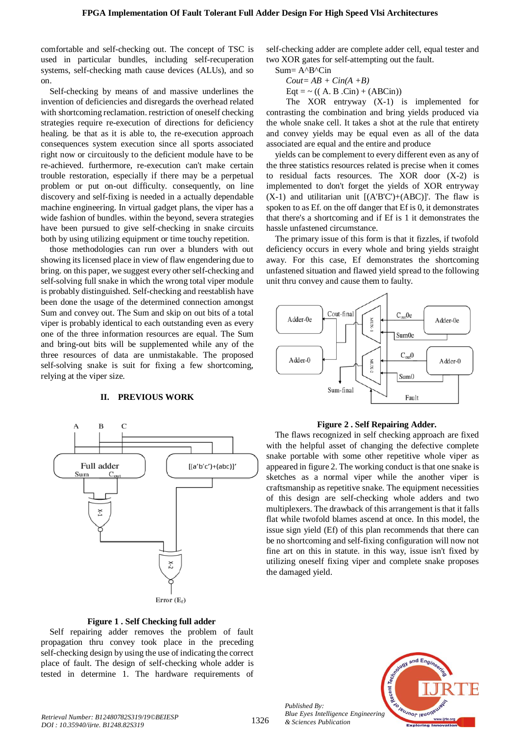comfortable and self-checking out. The concept of TSC is used in particular bundles, including self-recuperation systems, self-checking math cause devices (ALUs), and so on.

Self-checking by means of and massive underlines the invention of deficiencies and disregards the overhead related with shortcoming reclamation. restriction of oneself checking strategies require re-execution of directions for deficiency healing. be that as it is able to, the re-execution approach consequences system execution since all sports associated right now or circuitously to the deficient module have to be re-achieved. furthermore, re-execution can't make certain trouble restoration, especially if there may be a perpetual problem or put on-out difficulty. consequently, on line discovery and self-fixing is needed in a actually dependable machine engineering. In virtual gadget plans, the viper has a wide fashion of bundles. within the beyond, severa strategies have been pursued to give self-checking in snake circuits both by using utilizing equipment or time touchy repetition.

those methodologies can run over a blunders with out showing its licensed place in view of flaw engendering due to bring. on this paper, we suggest every other self-checking and self-solving full snake in which the wrong total viper module is probably distinguished. Self-checking and reestablish have been done the usage of the determined connection amongst Sum and convey out. The Sum and skip on out bits of a total viper is probably identical to each outstanding even as every one of the three information resources are equal. The Sum and bring-out bits will be supplemented while any of the three resources of data are unmistakable. The proposed self-solving snake is suit for fixing a few shortcoming, relying at the viper size.

# **II. PREVIOUS WORK**



#### **Figure 1 . Self Checking full adder**

Self repairing adder removes the problem of fault propagation thru convey took place in the preceding self-checking design by using the use of indicating the correct place of fault. The design of self-checking whole adder is tested in determine 1. The hardware requirements of

self-checking adder are complete adder cell, equal tester and two XOR gates for self-attempting out the fault.

Sum= A^B^Cin

 $Cout=AB+Cin(A+B)$ 

 $\text{Eqt} = \sim ((A, B, \text{Cin}) + (AB\text{Cin}))$ 

The XOR entryway (X-1) is implemented for contrasting the combination and bring yields produced via the whole snake cell. It takes a shot at the rule that entirety and convey yields may be equal even as all of the data associated are equal and the entire and produce

yields can be complement to every different even as any of the three statistics resources related is precise when it comes to residual facts resources. The XOR door (X-2) is implemented to don't forget the yields of XOR entryway  $(X-1)$  and utilitarian unit  $[(A'B'C')+(ABC)]'$ . The flaw is spoken to as Ef. on the off danger that Ef is 0, it demonstrates that there's a shortcoming and if Ef is 1 it demonstrates the hassle unfastened circumstance.

The primary issue of this form is that it fizzles, if twofold deficiency occurs in every whole and bring yields straight away. For this case, Ef demonstrates the shortcoming unfastened situation and flawed yield spread to the following unit thru convey and cause them to faulty.



# **Figure 2 . Self Repairing Adder.**

The flaws recognized in self checking approach are fixed with the helpful asset of changing the defective complete snake portable with some other repetitive whole viper as appeared in figure 2. The working conduct is that one snake is sketches as a normal viper while the another viper is craftsmanship as repetitive snake. The equipment necessities of this design are self-checking whole adders and two multiplexers. The drawback of this arrangement is that it falls flat while twofold blames ascend at once. In this model, the issue sign yield (Ef) of this plan recommends that there can be no shortcoming and self-fixing configuration will now not fine art on this in statute. in this way, issue isn't fixed by utilizing oneself fixing viper and complete snake proposes the damaged yield.



*Published By:*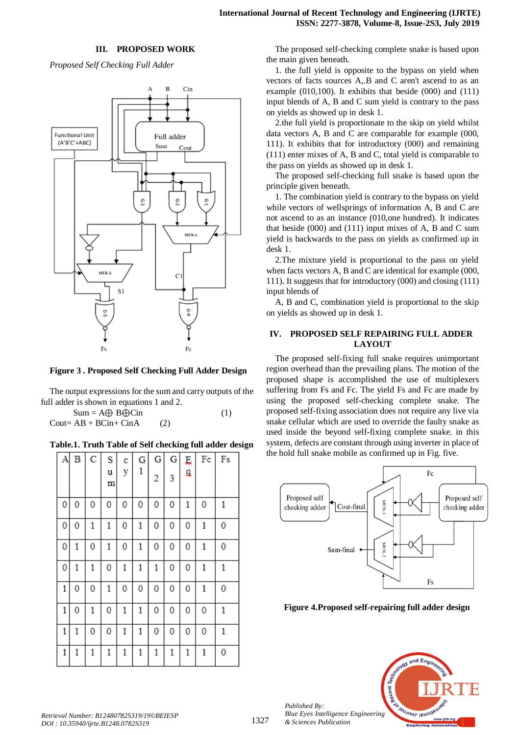#### **III. PROPOSED WORK**

*Proposed Self Checking Full Adder*



**Figure 3 . Proposed Self Checking Full Adder Design**

The output expressions for the sum and carry outputs of the full adder is shown in equations 1 and 2.

 $Sum = A \oplus B \oplus Cin$  (1)  $Cout = AB + BCin + CinA$  (2)

**Table.1. Truth Table of Self checking full adder design**

| А |              | B C          | S<br>u | c<br>у | G<br>1 | $\mathbf{G}$<br>2 | 3 | GE<br>a | Fc           | F <sub>S</sub> |
|---|--------------|--------------|--------|--------|--------|-------------------|---|---------|--------------|----------------|
|   |              |              | m      |        |        |                   |   |         |              |                |
| 0 | 0            | 0            | 0      | 0      | 0      | 0                 | 0 | 1       | 0            | 1              |
| 0 | 0            | 1            | 1      | 0      | 1      | 0                 | 0 | 0       | 1            | 0              |
| 0 | 1            | 0            | 1      | 0      | 1      | 0                 | 0 | 0       | 1            | 0              |
| 0 | $\mathbf{1}$ | $\mathbf{1}$ | 0      | 1      | 1      | 1                 | 0 | 0       | $\mathbf{1}$ | $\mathbf{1}$   |
| 1 | 0            | 0            | 1      | 0      | 0      | 0                 | 0 | 0       | 1            | 0              |
| 1 | 0            | 1            | 0      | 1      | 1      | 0                 | 0 | 0       | 0            | 1              |
| 1 | 1            | 0            | 0      | 1      | 1      | 0                 | 0 | 0       | 0            | $1\,$          |
| 1 | 1            | 1            | 1      | 1      | 1      | 1                 | 1 | 1       | 1            | 0              |

The proposed self-checking complete snake is based upon the main given beneath.

1. the full yield is opposite to the bypass on yield when vectors of facts sources A,.B and C aren't ascend to as an example (010,100). It exhibits that beside (000) and (111) input blends of A, B and C sum yield is contrary to the pass on yields as showed up in desk 1.

2.the full yield is proportionate to the skip on yield whilst data vectors A, B and C are comparable for example (000, 111). It exhibits that for introductory (000) and remaining (111) enter mixes of A, B and C, total yield is comparable to the pass on yields as showed up in desk 1.

The proposed self-checking full snake is based upon the principle given beneath.

1. The combination yield is contrary to the bypass on yield while vectors of wellsprings of information A, B and C are not ascend to as an instance (010,one hundred). It indicates that beside (000) and (111) input mixes of A, B and C sum yield is backwards to the pass on yields as confirmed up in desk 1.

2.The mixture yield is proportional to the pass on yield when facts vectors A, B and C are identical for example (000, 111). It suggests that for introductory (000) and closing (111) input blends of

A, B and C, combination yield is proportional to the skip on yields as showed up in desk 1.

# **IV. PROPOSED SELF REPAIRING FULL ADDER LAYOUT**

The proposed self-fixing full snake requires unimportant region overhead than the prevailing plans. The motion of the proposed shape is accomplished the use of multiplexers suffering from Fs and Fc. The yield Fs and Fc are made by using the proposed self-checking complete snake. The proposed self-fixing association does not require any live via snake cellular which are used to override the faulty snake as used inside the beyond self-fixing complete snake. in this system, defects are constant through using inverter in place of the hold full snake mobile as confirmed up in Fig. five.



**Figure 4.Proposed self-repairing full adder design**



*Published By:*

*& Sciences Publication*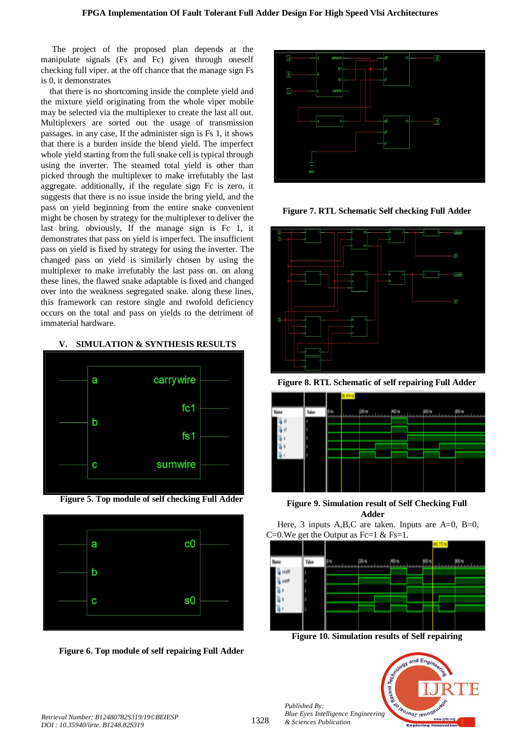The project of the proposed plan depends at the manipulate signals (Fs and Fc) given through oneself checking full viper. at the off chance that the manage sign Fs is 0, it demonstrates

that there is no shortcoming inside the complete yield and the mixture yield originating from the whole viper mobile may be selected via the multiplexer to create the last all out. Multiplexers are sorted out the usage of transmission passages. in any case, If the administer sign is Fs 1, it shows that there is a burden inside the blend yield. The imperfect whole yield starting from the full snake cell is typical through using the inverter. The steamed total yield is other than picked through the multiplexer to make irrefutably the last aggregate. additionally, if the regulate sign Fc is zero, it suggests that there is no issue inside the bring yield, and the pass on yield beginning from the entire snake convenient might be chosen by strategy for the multiplexer to deliver the last bring. obviously, If the manage sign is Fc 1, it demonstrates that pass on yield is imperfect. The insufficient pass on yield is fixed by strategy for using the inverter. The changed pass on yield is similarly chosen by using the multiplexer to make irrefutably the last pass on. on along these lines, the flawed snake adaptable is fixed and changed over into the weakness segregated snake. along these lines, this framework can restore single and twofold deficiency occurs on the total and pass on yields to the detriment of immaterial hardware.

# **V. SIMULATION & SYNTHESIS RESULTS**



**Figure 5. Top module of self checking Full Adder**



**Figure 6. Top module of self repairing Full Adder**



**Figure 7. RTL Schematic Self checking Full Adder**



**Figure 8. RTL Schematic of self repairing Full Adder**



**Figure 9. Simulation result of Self Checking Full Adder**

Here, 3 inputs A,B,C are taken. Inputs are  $A=0$ ,  $B=0$ , C=0. We get the Output as Fc=1 & Fs=1.



**Figure 10. Simulation results of Self repairing**



*Published By:*